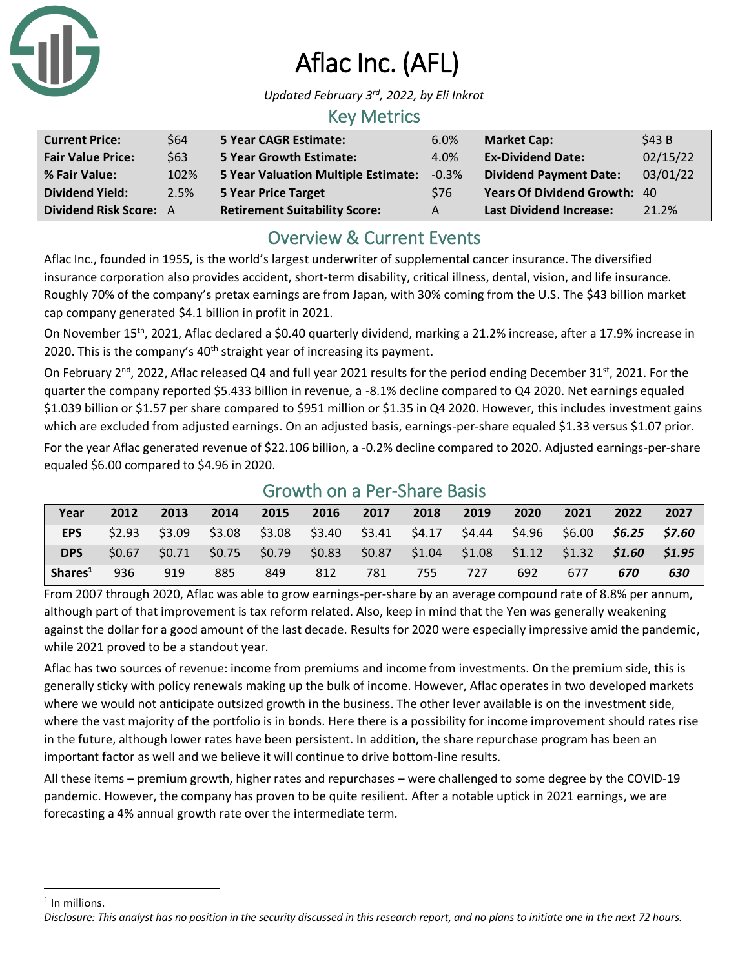

# Aflac Inc. (AFL)

*Updated February 3rd , 2022, by Eli Inkrot*

#### Key Metrics

| <b>Current Price:</b>         | \$64 | <b>5 Year CAGR Estimate:</b>         | 6.0%       | <b>Market Cap:</b>             | \$43B    |
|-------------------------------|------|--------------------------------------|------------|--------------------------------|----------|
| <b>Fair Value Price:</b>      | \$63 | <b>5 Year Growth Estimate:</b>       | 4.0%       | <b>Ex-Dividend Date:</b>       | 02/15/22 |
| % Fair Value:                 | 102% | 5 Year Valuation Multiple Estimate:  | $-0.3\%$   | <b>Dividend Payment Date:</b>  | 03/01/22 |
| <b>Dividend Yield:</b>        | 2.5% | 5 Year Price Target                  | <b>S76</b> | Years Of Dividend Growth: 40   |          |
| <b>Dividend Risk Score: A</b> |      | <b>Retirement Suitability Score:</b> | A          | <b>Last Dividend Increase:</b> | 21.2%    |

## Overview & Current Events

Aflac Inc., founded in 1955, is the world's largest underwriter of supplemental cancer insurance. The diversified insurance corporation also provides accident, short-term disability, critical illness, dental, vision, and life insurance. Roughly 70% of the company's pretax earnings are from Japan, with 30% coming from the U.S. The \$43 billion market cap company generated \$4.1 billion in profit in 2021.

On November 15<sup>th</sup>, 2021, Aflac declared a \$0.40 quarterly dividend, marking a 21.2% increase, after a 17.9% increase in 2020. This is the company's  $40<sup>th</sup>$  straight year of increasing its payment.

On February 2<sup>nd</sup>, 2022, Aflac released Q4 and full year 2021 results for the period ending December 31<sup>st</sup>, 2021. For the quarter the company reported \$5.433 billion in revenue, a -8.1% decline compared to Q4 2020. Net earnings equaled \$1.039 billion or \$1.57 per share compared to \$951 million or \$1.35 in Q4 2020. However, this includes investment gains which are excluded from adjusted earnings. On an adjusted basis, earnings-per-share equaled \$1.33 versus \$1.07 prior.

For the year Aflac generated revenue of \$22.106 billion, a -0.2% decline compared to 2020. Adjusted earnings-per-share equaled \$6.00 compared to \$4.96 in 2020.

| Year                        | 2012 | 2013 | 2014 | 2015 |     | 2016 2017 | 2018 | 2019                                                                                            | 2020 | 2021 | 2022 | 2027 |
|-----------------------------|------|------|------|------|-----|-----------|------|-------------------------------------------------------------------------------------------------|------|------|------|------|
| <b>EPS</b>                  |      |      |      |      |     |           |      | $$2.93$ $$3.09$ $$3.08$ $$3.08$ $$3.40$ $$3.41$ $$4.17$ $$4.44$ $$4.96$ $$6.00$ $$6.25$ $$7.60$ |      |      |      |      |
| <b>DPS</b>                  |      |      |      |      |     |           |      | $$0.67$ $$0.71$ $$0.75$ $$0.79$ $$0.83$ $$0.87$ $$1.04$ $$1.08$ $$1.12$ $$1.32$ $$1.60$ $$1.95$ |      |      |      |      |
| $\vert$ Shares <sup>1</sup> | 936  | 919  | 885  | 849  | 812 | 781       | 755  | 727                                                                                             | 692  | 677  | 670  | 630  |

### Growth on a Per-Share Basis

From 2007 through 2020, Aflac was able to grow earnings-per-share by an average compound rate of 8.8% per annum, although part of that improvement is tax reform related. Also, keep in mind that the Yen was generally weakening against the dollar for a good amount of the last decade. Results for 2020 were especially impressive amid the pandemic, while 2021 proved to be a standout year.

Aflac has two sources of revenue: income from premiums and income from investments. On the premium side, this is generally sticky with policy renewals making up the bulk of income. However, Aflac operates in two developed markets where we would not anticipate outsized growth in the business. The other lever available is on the investment side, where the vast majority of the portfolio is in bonds. Here there is a possibility for income improvement should rates rise in the future, although lower rates have been persistent. In addition, the share repurchase program has been an important factor as well and we believe it will continue to drive bottom-line results.

All these items – premium growth, higher rates and repurchases – were challenged to some degree by the COVID-19 pandemic. However, the company has proven to be quite resilient. After a notable uptick in 2021 earnings, we are forecasting a 4% annual growth rate over the intermediate term.

<sup>1</sup> In millions.

*Disclosure: This analyst has no position in the security discussed in this research report, and no plans to initiate one in the next 72 hours.*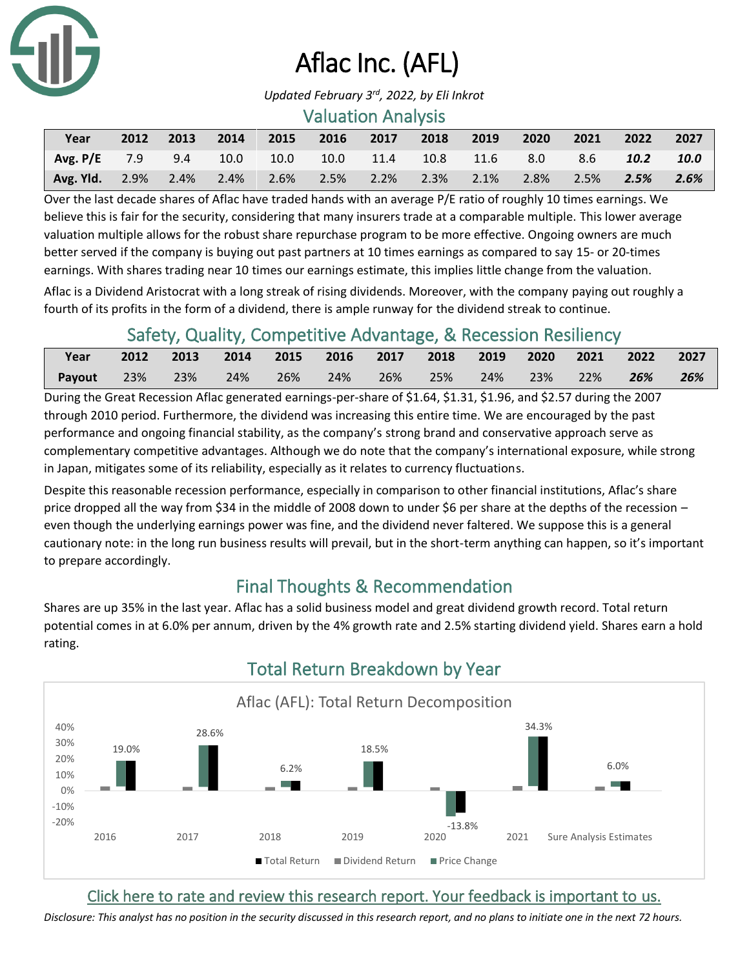

# Aflac Inc. (AFL)

#### Valuation Analysis

| Year                                                                  |  |  |  | 2012 2013 2014 2015 2016 2017 2018 2019 2020 2021 |  | 2022 2027 |  |
|-----------------------------------------------------------------------|--|--|--|---------------------------------------------------|--|-----------|--|
| Avg. P/E 7.9 9.4 10.0 10.0 10.0 11.4 10.8 11.6 8.0 8.6 10.2 10.0      |  |  |  |                                                   |  |           |  |
| Avg. Yld. 2.9% 2.4% 2.4% 2.6% 2.5% 2.2% 2.3% 2.1% 2.8% 2.5% 2.5% 2.6% |  |  |  |                                                   |  |           |  |

Over the last decade shares of Aflac have traded hands with an average P/E ratio of roughly 10 times earnings. We believe this is fair for the security, considering that many insurers trade at a comparable multiple. This lower average valuation multiple allows for the robust share repurchase program to be more effective. Ongoing owners are much better served if the company is buying out past partners at 10 times earnings as compared to say 15- or 20-times earnings. With shares trading near 10 times our earnings estimate, this implies little change from the valuation.

Aflac is a Dividend Aristocrat with a long streak of rising dividends. Moreover, with the company paying out roughly a fourth of its profits in the form of a dividend, there is ample runway for the dividend streak to continue.

## Safety, Quality, Competitive Advantage, & Recession Resiliency

| Year          |     | 2012 2013 2014 2015 2016 2017 2018 2019 2020 2021 2022 |            |     |     |     |        |             |     | 2027 |
|---------------|-----|--------------------------------------------------------|------------|-----|-----|-----|--------|-------------|-----|------|
| <b>Payout</b> | 23% | $-23%$                                                 | $\sim$ 24% | 26% | 24% | 26% | $25\%$ | 24% 23% 22% | 26% | 26%  |

During the Great Recession Aflac generated earnings-per-share of \$1.64, \$1.31, \$1.96, and \$2.57 during the 2007 through 2010 period. Furthermore, the dividend was increasing this entire time. We are encouraged by the past performance and ongoing financial stability, as the company's strong brand and conservative approach serve as complementary competitive advantages. Although we do note that the company's international exposure, while strong in Japan, mitigates some of its reliability, especially as it relates to currency fluctuations.

Despite this reasonable recession performance, especially in comparison to other financial institutions, Aflac's share price dropped all the way from \$34 in the middle of 2008 down to under \$6 per share at the depths of the recession – even though the underlying earnings power was fine, and the dividend never faltered. We suppose this is a general cautionary note: in the long run business results will prevail, but in the short-term anything can happen, so it's important to prepare accordingly.

## Final Thoughts & Recommendation

Shares are up 35% in the last year. Aflac has a solid business model and great dividend growth record. Total return potential comes in at 6.0% per annum, driven by the 4% growth rate and 2.5% starting dividend yield. Shares earn a hold rating.



## Total Return Breakdown by Year

### [Click here to rate and review this research report. Your feedback is important to us.](https://suredividend.typeform.com/to/S0SIkB)

*Disclosure: This analyst has no position in the security discussed in this research report, and no plans to initiate one in the next 72 hours.*

*Updated February 3rd , 2022, by Eli Inkrot*